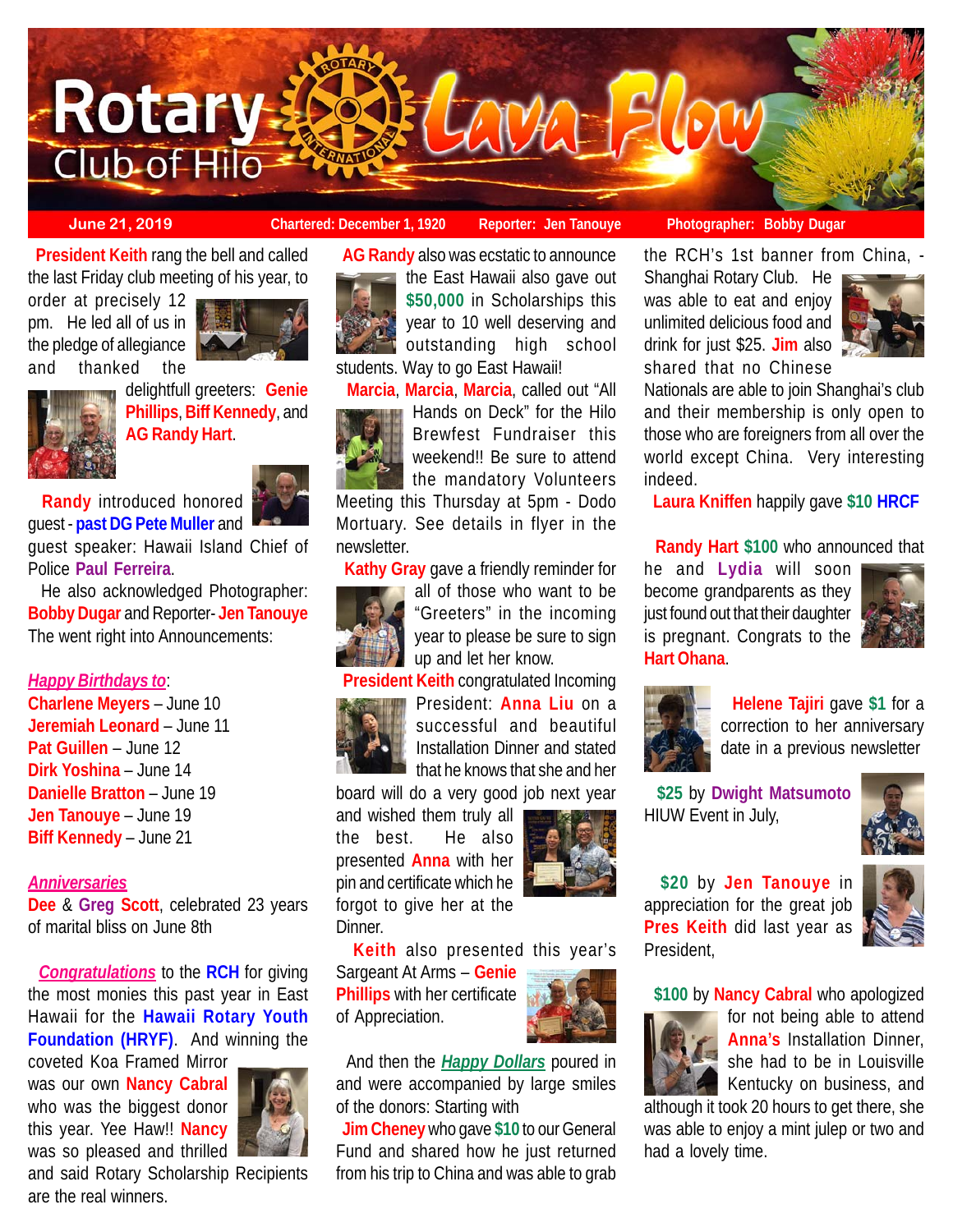

 **President Keith** rang the bell and called the last Friday club meeting of his year, to

order at precisely 12 pm. He led all of us in the pledge of allegiance and thanked the



delightfull greeters: **Genie Phillips**, **Biff Kennedy**, and **AG Randy Hart**.

 **Randy** introduced honored guest - **past DG Pete Muller** and

guest speaker: Hawaii Island Chief of Police **Paul Ferreira**.

 He also acknowledged Photographer: **Bobby Dugar** and Reporter- **Jen Tanouye** The went right into Announcements:

#### *Happy Birthdays to*:

**Charlene Meyers** – June 10 **Jeremiah Leonard** – June 11 **Pat Guillen** – June 12 **Dirk Yoshina** – June 14 **Danielle Bratton** – June 19 **Jen Tanouye** – June 19 **Biff Kennedy** – June 21

#### *Anniversaries*

**Dee** & **Greg Scott**, celebrated 23 years of marital bliss on June 8th

 *Congratulations* to the **RCH** for giving the most monies this past year in East Hawaii for the **Hawaii Rotary Youth Foundation (HRYF)**. And winning the

coveted Koa Framed Mirror was our own **Nancy Cabral** who was the biggest donor this year. Yee Haw!! **Nancy** was so pleased and thrilled



and said Rotary Scholarship Recipients are the real winners.



 **AG Randy** also was ecstatic to announce the East Hawaii also gave out **\$50,000** in Scholarships this year to 10 well deserving and outstanding high school students. Way to go East Hawaii!

 **Marcia**, **Marcia**, **Marcia**, called out "All



Hands on Deck" for the Hilo Brewfest Fundraiser this weekend!! Be sure to attend the mandatory Volunteers

Meeting this Thursday at 5pm - Dodo Mortuary. See details in flyer in the newsletter.

**Kathy Gray** gave a friendly reminder for



all of those who want to be "Greeters" in the incoming year to please be sure to sign up and let her know.

 **President Keith** congratulated Incoming President: **Anna Liu** on a successful and beautiful Installation Dinner and stated

that he knows that she and her board will do a very good job next year

and wished them truly all the best. He also presented **Anna** with her pin and certificate which he forgot to give her at the Dinner.



**Keith** also presented this year's

Sargeant At Arms – **Genie Phillips** with her certificate of Appreciation.



 And then the *Happy Dollars* poured in and were accompanied by large smiles of the donors: Starting with

 **Jim Cheney** who gave **\$10** to our General Fund and shared how he just returned from his trip to China and was able to grab

**June 21, 2019 Chartered: December 1, 1920 Reporter: Jen Tanouye Photographer: Bobby Dugar**

the RCH's 1st banner from China, -

Shanghai Rotary Club. He was able to eat and enjoy unlimited delicious food and drink for just \$25. **Jim** also shared that no Chinese



Nationals are able to join Shanghai's club and their membership is only open to those who are foreigners from all over the world except China. Very interesting indeed.

**Laura Kniffen** happily gave **\$10 HRCF**

## **Randy Hart \$100** who announced that

he and **Lydia** will soon become grandparents as they just found out that their daughter is pregnant. Congrats to the **Hart Ohana**.





 **Helene Tajiri** gave **\$1** for a correction to her anniversary date in a previous newsletter

 **\$25** by **Dwight Matsumoto** HIUW Event in July,



 **\$20** by **Jen Tanouye** in appreciation for the great job **Pres Keith** did last year as President,



**\$100** by **Nancy Cabral** who apologized



for not being able to attend **Anna's** Installation Dinner, she had to be in Louisville Kentucky on business, and

although it took 20 hours to get there, she was able to enjoy a mint julep or two and had a lovely time.